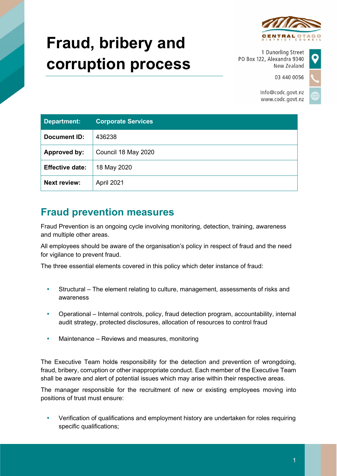

# **Fraud, bribery and corruption process**

1 Dunorling Street PO Box 122, Alexandra 9340 New Zealand

03 440 0056

Info@codc.govt.nz www.codc.govt.nz

| <b>Department:</b>     | <b>Corporate Services</b> |
|------------------------|---------------------------|
| Document ID:           | 436238                    |
| Approved by:           | Council 18 May 2020       |
| <b>Effective date:</b> | 18 May 2020               |
| <b>Next review:</b>    | April 2021                |

## **Fraud prevention measures**

Fraud Prevention is an ongoing cycle involving monitoring, detection, training, awareness and multiple other areas.

All employees should be aware of the organisation's policy in respect of fraud and the need for vigilance to prevent fraud.

The three essential elements covered in this policy which deter instance of fraud:

- Structural The element relating to culture, management, assessments of risks and awareness
- Operational Internal controls, policy, fraud detection program, accountability, internal audit strategy, protected disclosures, allocation of resources to control fraud
- Maintenance Reviews and measures, monitoring

The Executive Team holds responsibility for the detection and prevention of wrongdoing, fraud, bribery, corruption or other inappropriate conduct. Each member of the Executive Team shall be aware and alert of potential issues which may arise within their respective areas.

The manager responsible for the recruitment of new or existing employees moving into positions of trust must ensure:

 Verification of qualifications and employment history are undertaken for roles requiring specific qualifications;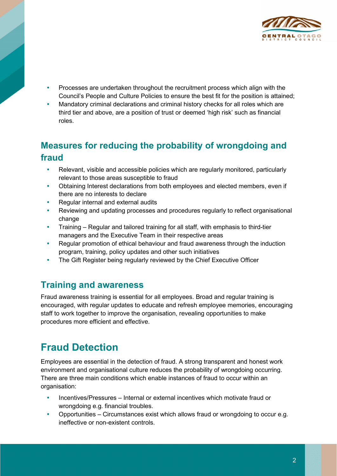

- Processes are undertaken throughout the recruitment process which align with the Council's People and Culture Policies to ensure the best fit for the position is attained;
- Mandatory criminal declarations and criminal history checks for all roles which are third tier and above, are a position of trust or deemed 'high risk' such as financial roles.

## **Measures for reducing the probability of wrongdoing and fraud**

- Relevant, visible and accessible policies which are regularly monitored, particularly relevant to those areas susceptible to fraud
- Obtaining Interest declarations from both employees and elected members, even if there are no interests to declare
- Regular internal and external audits
- Reviewing and updating processes and procedures regularly to reflect organisational change
- Training Regular and tailored training for all staff, with emphasis to third-tier managers and the Executive Team in their respective areas
- Regular promotion of ethical behaviour and fraud awareness through the induction program, training, policy updates and other such initiatives
- The Gift Register being regularly reviewed by the Chief Executive Officer

#### **Training and awareness**

Fraud awareness training is essential for all employees. Broad and regular training is encouraged, with regular updates to educate and refresh employee memories, encouraging staff to work together to improve the organisation, revealing opportunities to make procedures more efficient and effective.

# **Fraud Detection**

Employees are essential in the detection of fraud. A strong transparent and honest work environment and organisational culture reduces the probability of wrongdoing occurring. There are three main conditions which enable instances of fraud to occur within an organisation:

- Incentives/Pressures Internal or external incentives which motivate fraud or wrongdoing e.g. financial troubles.
- Opportunities Circumstances exist which allows fraud or wrongdoing to occur e.g. ineffective or non-existent controls.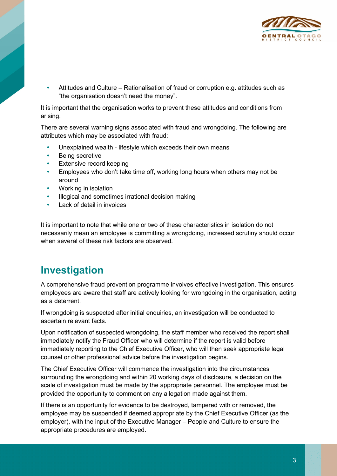

 Attitudes and Culture – Rationalisation of fraud or corruption e.g. attitudes such as "the organisation doesn't need the money".

It is important that the organisation works to prevent these attitudes and conditions from arising.

There are several warning signs associated with fraud and wrongdoing. The following are attributes which may be associated with fraud:

- Unexplained wealth lifestyle which exceeds their own means
- Being secretive
- Extensive record keeping
- Employees who don't take time off, working long hours when others may not be around
- Working in isolation
- Illogical and sometimes irrational decision making
- Lack of detail in invoices

It is important to note that while one or two of these characteristics in isolation do not necessarily mean an employee is committing a wrongdoing, increased scrutiny should occur when several of these risk factors are observed.

### **Investigation**

A comprehensive fraud prevention programme involves effective investigation. This ensures employees are aware that staff are actively looking for wrongdoing in the organisation, acting as a deterrent.

If wrongdoing is suspected after initial enquiries, an investigation will be conducted to ascertain relevant facts.

Upon notification of suspected wrongdoing, the staff member who received the report shall immediately notify the Fraud Officer who will determine if the report is valid before immediately reporting to the Chief Executive Officer, who will then seek appropriate legal counsel or other professional advice before the investigation begins.

The Chief Executive Officer will commence the investigation into the circumstances surrounding the wrongdoing and within 20 working days of disclosure, a decision on the scale of investigation must be made by the appropriate personnel. The employee must be provided the opportunity to comment on any allegation made against them.

If there is an opportunity for evidence to be destroyed, tampered with or removed, the employee may be suspended if deemed appropriate by the Chief Executive Officer (as the employer), with the input of the Executive Manager – People and Culture to ensure the appropriate procedures are employed.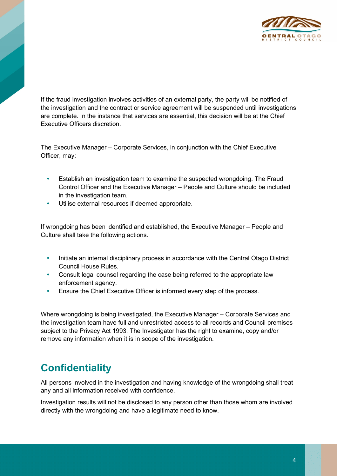

If the fraud investigation involves activities of an external party, the party will be notified of the investigation and the contract or service agreement will be suspended until investigations are complete. In the instance that services are essential, this decision will be at the Chief Executive Officers discretion.

The Executive Manager – Corporate Services, in conjunction with the Chief Executive Officer, may:

- Establish an investigation team to examine the suspected wrongdoing. The Fraud Control Officer and the Executive Manager – People and Culture should be included in the investigation team.
- Utilise external resources if deemed appropriate.

If wrongdoing has been identified and established, the Executive Manager – People and Culture shall take the following actions.

- Initiate an internal disciplinary process in accordance with the Central Otago District Council House Rules.
- Consult legal counsel regarding the case being referred to the appropriate law enforcement agency.
- Ensure the Chief Executive Officer is informed every step of the process.

Where wrongdoing is being investigated, the Executive Manager – Corporate Services and the investigation team have full and unrestricted access to all records and Council premises subject to the Privacy Act 1993. The Investigator has the right to examine, copy and/or remove any information when it is in scope of the investigation.

# **Confidentiality**

All persons involved in the investigation and having knowledge of the wrongdoing shall treat any and all information received with confidence.

Investigation results will not be disclosed to any person other than those whom are involved directly with the wrongdoing and have a legitimate need to know.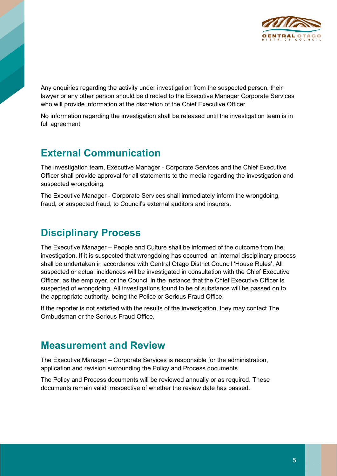

Any enquiries regarding the activity under investigation from the suspected person, their lawyer or any other person should be directed to the Executive Manager Corporate Services who will provide information at the discretion of the Chief Executive Officer.

No information regarding the investigation shall be released until the investigation team is in full agreement.

#### **External Communication**

The investigation team, Executive Manager - Corporate Services and the Chief Executive Officer shall provide approval for all statements to the media regarding the investigation and suspected wrongdoing.

The Executive Manager - Corporate Services shall immediately inform the wrongdoing, fraud, or suspected fraud, to Council's external auditors and insurers.

#### **Disciplinary Process**

The Executive Manager – People and Culture shall be informed of the outcome from the investigation. If it is suspected that wrongdoing has occurred, an internal disciplinary process shall be undertaken in accordance with Central Otago District Council 'House Rules'. All suspected or actual incidences will be investigated in consultation with the Chief Executive Officer, as the employer, or the Council in the instance that the Chief Executive Officer is suspected of wrongdoing. All investigations found to be of substance will be passed on to the appropriate authority, being the Police or Serious Fraud Office.

If the reporter is not satisfied with the results of the investigation, they may contact The Ombudsman or the Serious Fraud Office.

#### **Measurement and Review**

The Executive Manager – Corporate Services is responsible for the administration, application and revision surrounding the Policy and Process documents.

The Policy and Process documents will be reviewed annually or as required. These documents remain valid irrespective of whether the review date has passed.